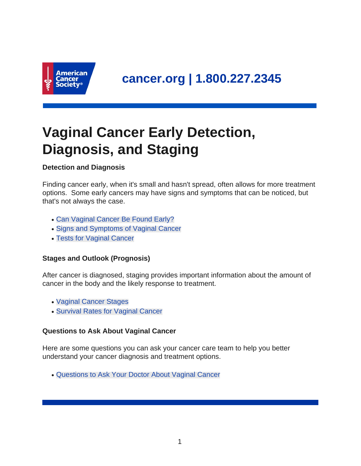

# **Vaginal Cancer Early Detection, Diagnosis, and Staging**

### **Detection and Diagnosis**

Finding cancer early, when it's small and hasn't spread, often allows for more treatment options. Some early cancers may have signs and symptoms that can be noticed, but that's not always the case.

- [Can Vaginal Cancer Be Found Early?](#page-1-0)
- [Signs and Symptoms of Vaginal Cancer](#page-1-1)
- [Tests for Vaginal Cancer](#page-3-0)

### **Stages and Outlook (Prognosis)**

After cancer is diagnosed, staging provides important information about the amount of cancer in the body and the likely response to treatment.

- [Vaginal Cancer Stages](#page-7-0)
- [Survival Rates for Vaginal Cancer](#page-10-0)

### **Questions to Ask About Vaginal Cancer**

Here are some questions you can ask your cancer care team to help you better understand your cancer diagnosis and treatment options.

• [Questions to Ask Your Doctor About Vaginal Cancer](#page-12-0)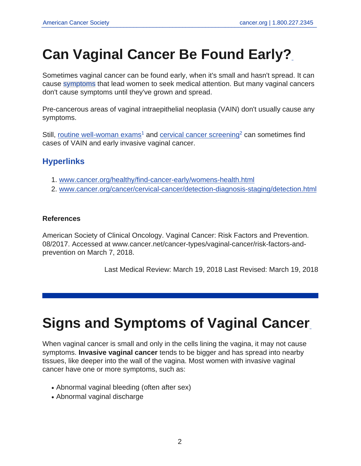# <span id="page-1-0"></span>**Can Vaginal Cancer Be Found Early?**

Sometimes vaginal cancer can be found early, when it's small and hasn't spread. It can cause [symptoms](#page-1-1) that lead women to seek medical attention. But many vaginal cancers don't cause symptoms until they've grown and spread.

Pre-cancerous areas of vaginal intraepithelial neoplasia (VAIN) don't usually cause any symptoms.

Still, [routine well-woman exams](https://www.cancer.org/content/cancer/en/healthy/find-cancer-early/womens-health.html)<sup>1</sup> and [cervical cancer screening](https://www.cancer.org/content/cancer/en/cancer/cervical-cancer/detection-diagnosis-staging/detection.html)<sup>2</sup> can sometimes find cases of VAIN and early invasive vaginal cancer.

## **Hyperlinks**

- 1. <www.cancer.org/healthy/find-cancer-early/womens-health.html>
- 2. <www.cancer.org/cancer/cervical-cancer/detection-diagnosis-staging/detection.html>

### **References**

American Society of Clinical Oncology. Vaginal Cancer: Risk Factors and Prevention. 08/2017. Accessed at www.cancer.net/cancer-types/vaginal-cancer/risk-factors-andprevention on March 7, 2018.

<span id="page-1-1"></span>Last Medical Review: March 19, 2018 Last Revised: March 19, 2018

# **Signs and Symptoms of Vaginal Cancer**

When vaginal cancer is small and only in the cells lining the vagina, it may not cause symptoms. **Invasive vaginal cancer** tends to be bigger and has spread into nearby tissues, like deeper into the wall of the vagina. Most women with invasive vaginal cancer have one or more symptoms, such as:

- Abnormal vaginal bleeding (often after sex)
- Abnormal vaginal discharge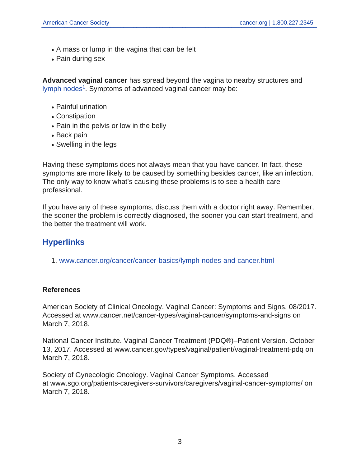- A mass or lump in the vagina that can be felt
- Pain during sex

**Advanced vaginal cancer** has spread beyond the vagina to nearby structures and [lymph nodes](https://www.cancer.org/content/cancer/en/cancer/cancer-basics/lymph-nodes-and-cancer.html)<sup>1</sup>. Symptoms of advanced vaginal cancer may be:

- Painful urination
- Constipation
- Pain in the pelvis or low in the belly
- Back pain
- Swelling in the legs

Having these symptoms does not always mean that you have cancer. In fact, these symptoms are more likely to be caused by something besides cancer, like an infection. The only way to know what's causing these problems is to see a health care professional.

If you have any of these symptoms, discuss them with a doctor right away. Remember, the sooner the problem is correctly diagnosed, the sooner you can start treatment, and the better the treatment will work.

## **Hyperlinks**

1. <www.cancer.org/cancer/cancer-basics/lymph-nodes-and-cancer.html>

### **References**

American Society of Clinical Oncology. Vaginal Cancer: Symptoms and Signs. 08/2017. Accessed at www.cancer.net/cancer-types/vaginal-cancer/symptoms-and-signs on March 7, 2018.

National Cancer Institute. Vaginal Cancer Treatment (PDQ®)–Patient Version. October 13, 2017. Accessed at www.cancer.gov/types/vaginal/patient/vaginal-treatment-pdq on March 7, 2018.

Society of Gynecologic Oncology. Vaginal Cancer Symptoms. Accessed at www.sgo.org/patients-caregivers-survivors/caregivers/vaginal-cancer-symptoms/ on March 7, 2018.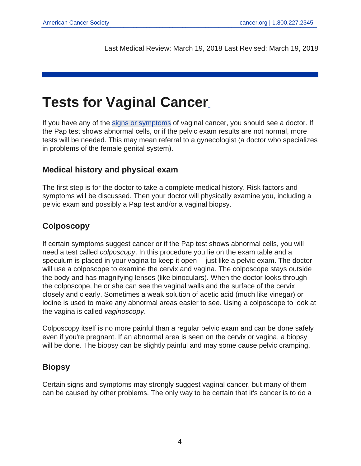<span id="page-3-0"></span>Last Medical Review: March 19, 2018 Last Revised: March 19, 2018

# **Tests for Vaginal Cancer**

If you have any of the [signs or symptoms](#page-1-1) of vaginal cancer, you should see a doctor. If the Pap test shows abnormal cells, or if the pelvic exam results are not normal, more tests will be needed. This may mean referral to a gynecologist (a doctor who specializes in problems of the female genital system).

## **Medical history and physical exam**

The first step is for the doctor to take a complete medical history. Risk factors and symptoms will be discussed. Then your doctor will physically examine you, including a pelvic exam and possibly a Pap test and/or a vaginal biopsy.

## **Colposcopy**

If certain symptoms suggest cancer or if the Pap test shows abnormal cells, you will need a test called colposcopy. In this procedure you lie on the exam table and a speculum is placed in your vagina to keep it open -- just like a pelvic exam. The doctor will use a colposcope to examine the cervix and vagina. The colposcope stays outside the body and has magnifying lenses (like binoculars). When the doctor looks through the colposcope, he or she can see the vaginal walls and the surface of the cervix closely and clearly. Sometimes a weak solution of acetic acid (much like vinegar) or iodine is used to make any abnormal areas easier to see. Using a colposcope to look at the vagina is called vaginoscopy.

Colposcopy itself is no more painful than a regular pelvic exam and can be done safely even if you're pregnant. If an abnormal area is seen on the cervix or vagina, a biopsy will be done. The biopsy can be slightly painful and may some cause pelvic cramping.

## **Biopsy**

Certain signs and symptoms may strongly suggest vaginal cancer, but many of them can be caused by other problems. The only way to be certain that it's cancer is to do a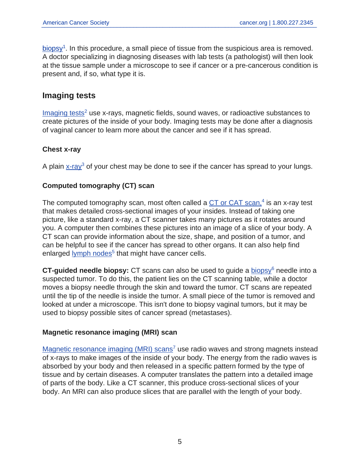$\overline{\text{biopsy}}^1$  $\overline{\text{biopsy}}^1$  $\overline{\text{biopsy}}^1$ . In this procedure, a small piece of tissue from the suspicious area is removed. A doctor specializing in diagnosing diseases with lab tests (a pathologist) will then look at the tissue sample under a microscope to see if cancer or a pre-cancerous condition is present and, if so, what type it is.

### **Imaging tests**

 $Imaging tests<sup>2</sup>$  $Imaging tests<sup>2</sup>$  use x-rays, magnetic fields, sound waves, or radioactive substances to create pictures of the inside of your body. Imaging tests may be done after a diagnosis of vaginal cancer to learn more about the cancer and see if it has spread.

### **Chest x-ray**

A plain [x-ray](https://www.cancer.org/content/cancer/en/treatment/understanding-your-diagnosis/tests/x-rays-and-other-radiographic-tests.html)<sup>3</sup> of your chest may be done to see if the cancer has spread to your lungs.

### **Computed tomography (CT) scan**

The computed tomography scan, most often called a [CT or CAT scan,](https://www.cancer.org/content/cancer/en/treatment/understanding-your-diagnosis/tests/ct-scan-for-cancer.html)<sup>4</sup> is an x-ray test that makes detailed cross-sectional images of your insides. Instead of taking one picture, like a standard x-ray, a CT scanner takes many pictures as it rotates around you. A computer then combines these pictures into an image of a slice of your body. A CT scan can provide information about the size, shape, and position of a tumor, and can be helpful to see if the cancer has spread to other organs. It can also help find enlarged [lymph nodes](https://www.cancer.org/content/cancer/en/cancer/cancer-basics/lymph-nodes-and-cancer.html)<sup>5</sup> that might have cancer cells.

**CT-guided needle [biopsy](https://www.cancer.org/content/cancer/en/treatment/understanding-your-diagnosis/tests/testing-biopsy-and-cytology-specimens-for-cancer/biopsy-types.html):** CT scans can also be used to guide a biopsy<sup>6</sup> needle into a suspected tumor. To do this, the patient lies on the CT scanning table, while a doctor moves a biopsy needle through the skin and toward the tumor. CT scans are repeated until the tip of the needle is inside the tumor. A small piece of the tumor is removed and looked at under a microscope. This isn't done to biopsy vaginal tumors, but it may be used to biopsy possible sites of cancer spread (metastases).

### **Magnetic resonance imaging (MRI) scan**

[Magnetic resonance imaging \(MRI\) scans](https://www.cancer.org/content/cancer/en/treatment/understanding-your-diagnosis/tests/mri-for-cancer.html)<sup>7</sup> use radio waves and strong magnets instead of x-rays to make images of the inside of your body. The energy from the radio waves is absorbed by your body and then released in a specific pattern formed by the type of tissue and by certain diseases. A computer translates the pattern into a detailed image of parts of the body. Like a CT scanner, this produce cross-sectional slices of your body. An MRI can also produce slices that are parallel with the length of your body.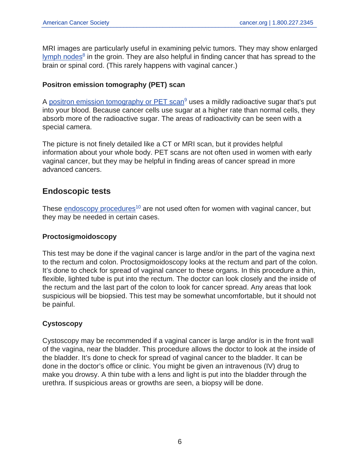MRI images are particularly useful in examining pelvic tumors. They may show enlarged [lymph nodes](https://www.cancer.org/content/cancer/en/cancer/cancer-basics/lymph-nodes-and-cancer.html)<sup>8</sup> in the groin. They are also helpful in finding cancer that has spread to the brain or spinal cord. (This rarely happens with vaginal cancer.)

### **Positron emission tomography (PET) scan**

A [positron emission tomography or PET scan](https://www.cancer.org/content/cancer/en/treatment/understanding-your-diagnosis/tests/nuclear-medicine-scans-for-cancer.html)<sup>9</sup> uses a mildly radioactive sugar that's put into your blood. Because cancer cells use sugar at a higher rate than normal cells, they absorb more of the radioactive sugar. The areas of radioactivity can be seen with a special camera.

The picture is not finely detailed like a CT or MRI scan, but it provides helpful information about your whole body. PET scans are not often used in women with early vaginal cancer, but they may be helpful in finding areas of cancer spread in more advanced cancers.

## **Endoscopic tests**

These [endoscopy procedures](https://www.cancer.org/content/cancer/en/treatment/understanding-your-diagnosis/tests/endoscopy.html)<sup>10</sup> are not used often for women with vaginal cancer, but they may be needed in certain cases.

### **Proctosigmoidoscopy**

This test may be done if the vaginal cancer is large and/or in the part of the vagina next to the rectum and colon. Proctosigmoidoscopy looks at the rectum and part of the colon. It's done to check for spread of vaginal cancer to these organs. In this procedure a thin, flexible, lighted tube is put into the rectum. The doctor can look closely and the inside of the rectum and the last part of the colon to look for cancer spread. Any areas that look suspicious will be biopsied. This test may be somewhat uncomfortable, but it should not be painful.

### **Cystoscopy**

Cystoscopy may be recommended if a vaginal cancer is large and/or is in the front wall of the vagina, near the bladder. This procedure allows the doctor to look at the inside of the bladder. It's done to check for spread of vaginal cancer to the bladder. It can be done in the doctor's office or clinic. You might be given an intravenous (IV) drug to make you drowsy. A thin tube with a lens and light is put into the bladder through the urethra. If suspicious areas or growths are seen, a biopsy will be done.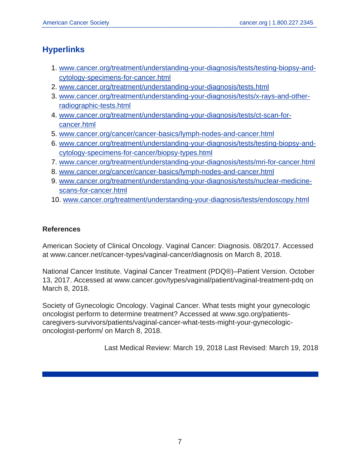## **Hyperlinks**

- 1. [www.cancer.org/treatment/understanding-your-diagnosis/tests/testing-biopsy-and](www.cancer.org/treatment/understanding-your-diagnosis/tests/testing-biopsy-and-cytology-specimens-for-cancer.html)[cytology-specimens-for-cancer.html](www.cancer.org/treatment/understanding-your-diagnosis/tests/testing-biopsy-and-cytology-specimens-for-cancer.html)
- 2. <www.cancer.org/treatment/understanding-your-diagnosis/tests.html>
- 3. [www.cancer.org/treatment/understanding-your-diagnosis/tests/x-rays-and-other](www.cancer.org/treatment/understanding-your-diagnosis/tests/x-rays-and-other-radiographic-tests.html)[radiographic-tests.html](www.cancer.org/treatment/understanding-your-diagnosis/tests/x-rays-and-other-radiographic-tests.html)
- 4. [www.cancer.org/treatment/understanding-your-diagnosis/tests/ct-scan-for](www.cancer.org/treatment/understanding-your-diagnosis/tests/ct-scan-for-cancer.html)[cancer.html](www.cancer.org/treatment/understanding-your-diagnosis/tests/ct-scan-for-cancer.html)
- 5. <www.cancer.org/cancer/cancer-basics/lymph-nodes-and-cancer.html>
- 6. [www.cancer.org/treatment/understanding-your-diagnosis/tests/testing-biopsy-and](www.cancer.org/treatment/understanding-your-diagnosis/tests/testing-biopsy-and-cytology-specimens-for-cancer/biopsy-types.html)[cytology-specimens-for-cancer/biopsy-types.html](www.cancer.org/treatment/understanding-your-diagnosis/tests/testing-biopsy-and-cytology-specimens-for-cancer/biopsy-types.html)
- 7. <www.cancer.org/treatment/understanding-your-diagnosis/tests/mri-for-cancer.html>
- 8. <www.cancer.org/cancer/cancer-basics/lymph-nodes-and-cancer.html>
- 9. [www.cancer.org/treatment/understanding-your-diagnosis/tests/nuclear-medicine](www.cancer.org/treatment/understanding-your-diagnosis/tests/nuclear-medicine-scans-for-cancer.html)[scans-for-cancer.html](www.cancer.org/treatment/understanding-your-diagnosis/tests/nuclear-medicine-scans-for-cancer.html)
- 10. <www.cancer.org/treatment/understanding-your-diagnosis/tests/endoscopy.html>

#### **References**

American Society of Clinical Oncology. Vaginal Cancer: Diagnosis. 08/2017. Accessed at www.cancer.net/cancer-types/vaginal-cancer/diagnosis on March 8, 2018.

National Cancer Institute. Vaginal Cancer Treatment (PDQ®)–Patient Version. October 13, 2017. Accessed at www.cancer.gov/types/vaginal/patient/vaginal-treatment-pdq on March 8, 2018.

Society of Gynecologic Oncology. Vaginal Cancer. What tests might your gynecologic oncologist perform to determine treatment? Accessed at www.sgo.org/patientscaregivers-survivors/patients/vaginal-cancer-what-tests-might-your-gynecologiconcologist-perform/ on March 8, 2018.

Last Medical Review: March 19, 2018 Last Revised: March 19, 2018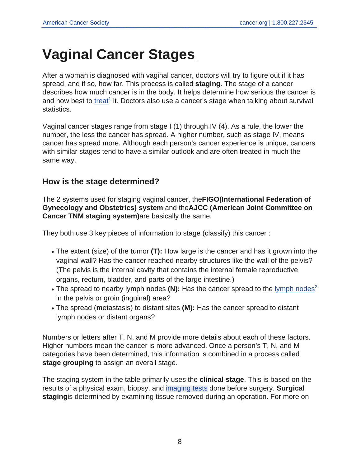# <span id="page-7-0"></span>**Vaginal Cancer Stages**

After a woman is diagnosed with vaginal cancer, doctors will try to figure out if it has spread, and if so, how far. This process is called **staging**. The stage of a cancer describes how much cancer is in the body. It helps determine how serious the cancer is and how best to [treat](https://www.cancer.org/content/cancer/en/cancer/vaginal-cancer/treating.html)<sup>1</sup> it. Doctors also use a cancer's stage when talking about survival statistics.

Vaginal cancer stages range from stage I (1) through IV (4). As a rule, the lower the number, the less the cancer has spread. A higher number, such as stage IV, means cancer has spread more. Although each person's cancer experience is unique, cancers with similar stages tend to have a similar outlook and are often treated in much the same way.

## **How is the stage determined?**

The 2 systems used for staging vaginal cancer, the**FIGO(International Federation of Gynecology and Obstetrics) system** and the**AJCC (American Joint Committee on Cancer TNM staging system)**are basically the same.

They both use 3 key pieces of information to stage (classify) this cancer :

- The extent (size) of the **t**umor (T): How large is the cancer and has it grown into the vaginal wall? Has the cancer reached nearby structures like the wall of the pelvis? (The pelvis is the internal cavity that contains the internal female reproductive organs, rectum, bladder, and parts of the large intestine.)
- The spread to nearby [lymph nodes](https://www.cancer.org/content/cancer/en/cancer/cancer-basics/lymph-nodes-and-cancer.html) (N): Has the cancer spread to the lymph nodes<sup>2</sup> in the pelvis or groin (inguinal) area?
- The spread (**m**etastasis) to distant sites **(M):** Has the cancer spread to distant lymph nodes or distant organs?

Numbers or letters after T, N, and M provide more details about each of these factors. Higher numbers mean the cancer is more advanced. Once a person's T, N, and M categories have been determined, this information is combined in a process called **stage grouping** to assign an overall stage.

The staging system in the table primarily uses the **clinical stage**. This is based on the results of a physical exam, biopsy, and [imaging tests](#page-3-0) done before surgery. **Surgical staging**is determined by examining tissue removed during an operation. For more on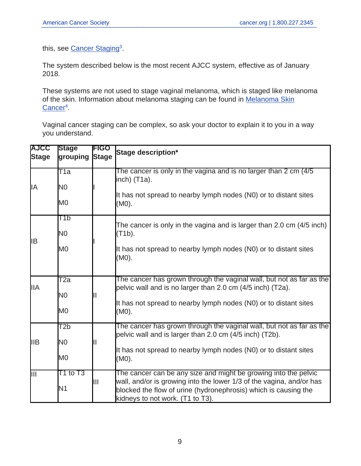this, see [Cancer Staging](https://www.cancer.org/content/cancer/en/treatment/understanding-your-diagnosis/staging.html)<sup>3</sup>.

The system described below is the most recent AJCC system, effective as of January 2018.

These systems are not used to stage vaginal melanoma, which is staged like melanoma of the skin. Information about melanoma staging can be found in [Melanoma Skin](https://www.cancer.org/cancer/melanoma-skin-cancer.html) [Cancer](https://www.cancer.org/cancer/melanoma-skin-cancer.html)<sup>4</sup>.

Vaginal cancer staging can be complex, so ask your doctor to explain it to you in a way you understand.

| <b>AJCC</b><br><b>Stage</b> | <b>Stage</b><br><b>grouping</b> | <b>FIGO</b><br><b>Stage</b> | Stage description*                                                                                                                                                                                                                             |
|-----------------------------|---------------------------------|-----------------------------|------------------------------------------------------------------------------------------------------------------------------------------------------------------------------------------------------------------------------------------------|
| ΙA                          | $\overline{\text{T1a}}$         |                             | The cancer is only in the vagina and is no larger than 2 cm (4/5)<br>linch) (T1a).                                                                                                                                                             |
|                             | IN0<br>M0                       |                             | It has not spread to nearby lymph nodes (N0) or to distant sites<br>(M0).                                                                                                                                                                      |
|                             | TТb                             |                             |                                                                                                                                                                                                                                                |
| IB                          | IN0                             |                             | The cancer is only in the vagina and is larger than 2.0 cm (4/5 inch)<br>$(T1b)$ .                                                                                                                                                             |
|                             | M0                              |                             | It has not spread to nearby lymph nodes (N0) or to distant sites<br>(M0).                                                                                                                                                                      |
| <b>IIA</b>                  | $\overline{\text{T2a}}$         |                             | The cancer has grown through the vaginal wall, but not as far as the                                                                                                                                                                           |
|                             | IN0                             | II                          | pelvic wall and is no larger than 2.0 cm (4/5 inch) (T2a).                                                                                                                                                                                     |
|                             | M0                              |                             | It has not spread to nearby lymph nodes (N0) or to distant sites<br>(M0).                                                                                                                                                                      |
| <b>IIB</b>                  | T2b                             | II                          | The cancer has grown through the vaginal wall, but not as far as the<br>pelvic wall and is larger than 2.0 cm (4/5 inch) (T2b).                                                                                                                |
|                             | IN0                             |                             |                                                                                                                                                                                                                                                |
|                             | M0                              |                             | It has not spread to nearby lymph nodes (N0) or to distant sites<br>(M0).                                                                                                                                                                      |
| $\overline{\mathbb{H}}$     | T1 to T3<br>IN1                 | Ⅲ                           | The cancer can be any size and might be growing into the pelvic<br>wall, and/or is growing into the lower 1/3 of the vagina, and/or has<br>blocked the flow of urine (hydronephrosis) which is causing the<br>kidneys to not work. (T1 to T3). |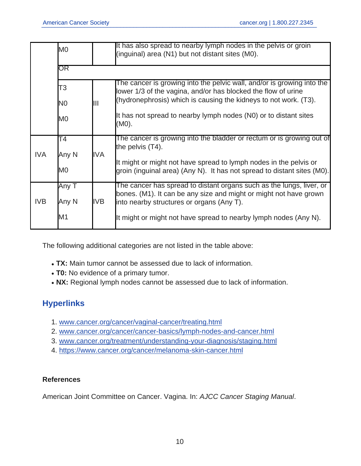|            | M0             |      | It has also spread to nearby lymph nodes in the pelvis or groin<br>(inguinal) area (N1) but not distant sites (M0).                          |  |  |  |
|------------|----------------|------|----------------------------------------------------------------------------------------------------------------------------------------------|--|--|--|
|            | OR             |      |                                                                                                                                              |  |  |  |
|            | T3             |      | The cancer is growing into the pelvic wall, and/or is growing into the<br>lower 1/3 of the vagina, and/or has blocked the flow of urine      |  |  |  |
|            | N <sub>0</sub> | Ш    | (hydronephrosis) which is causing the kidneys to not work. (T3).                                                                             |  |  |  |
|            | M0             |      | It has not spread to nearby lymph nodes (N0) or to distant sites<br>(M0).                                                                    |  |  |  |
| <b>IVA</b> | Τ4<br> Any N   | IIVA | The cancer is growing into the bladder or rectum or is growing out of<br>the pelvis $(T4)$ .                                                 |  |  |  |
|            | M0             |      | It might or might not have spread to lymph nodes in the pelvis or<br>groin (inguinal area) (Any N). It has not spread to distant sites (M0). |  |  |  |
| <b>IVB</b> | Any T          |      | The cancer has spread to distant organs such as the lungs, liver, or<br>bones. (M1). It can be any size and might or might not have grown    |  |  |  |
|            | Any N          | IVB  | linto nearby structures or organs (Any T).                                                                                                   |  |  |  |
|            | M1             |      | It might or might not have spread to nearby lymph nodes (Any N).                                                                             |  |  |  |

The following additional categories are not listed in the table above:

- TX: Main tumor cannot be assessed due to lack of information.
- **T0:** No evidence of a primary tumor.
- NX: Regional lymph nodes cannot be assessed due to lack of information.

# **Hyperlinks**

- 1. <www.cancer.org/cancer/vaginal-cancer/treating.html>
- 2. <www.cancer.org/cancer/cancer-basics/lymph-nodes-and-cancer.html>
- 3. <www.cancer.org/treatment/understanding-your-diagnosis/staging.html>
- 4. <https://www.cancer.org/cancer/melanoma-skin-cancer.html>

### **References**

American Joint Committee on Cancer. Vagina. In: AJCC Cancer Staging Manual.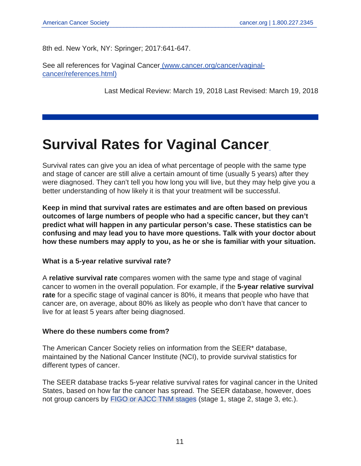8th ed. New York, NY: Springer; 2017:641-647.

See all [r](https://www.cancer.org/content/cancer/en/cancer/vaginal-cancer/references.html)eferences for Vaginal Cancer [\(www.cancer.org/cancer/vaginal](https://www.cancer.org/content/cancer/en/cancer/vaginal-cancer/references.html)[cancer/references.html\)](https://www.cancer.org/content/cancer/en/cancer/vaginal-cancer/references.html)

<span id="page-10-0"></span>Last Medical Review: March 19, 2018 Last Revised: March 19, 2018

# **Survival Rates for Vaginal Cancer**

Survival rates can give you an idea of what percentage of people with the same type and stage of cancer are still alive a certain amount of time (usually 5 years) after they were diagnosed. They can't tell you how long you will live, but they may help give you a better understanding of how likely it is that your treatment will be successful.

**Keep in mind that survival rates are estimates and are often based on previous outcomes of large numbers of people who had a specific cancer, but they can't predict what will happen in any particular person's case. These statistics can be confusing and may lead you to have more questions. Talk with your doctor about how these numbers may apply to you, as he or she is familiar with your situation.**

#### **What is a 5-year relative survival rate?**

A **relative survival rate** compares women with the same type and stage of vaginal cancer to women in the overall population. For example, if the **5-year relative survival rate** for a specific stage of vaginal cancer is 80%, it means that people who have that cancer are, on average, about 80% as likely as people who don't have that cancer to live for at least 5 years after being diagnosed.

#### **Where do these numbers come from?**

The American Cancer Society relies on information from the SEER\* database, maintained by the National Cancer Institute (NCI), to provide survival statistics for different types of cancer.

The SEER database tracks 5-year relative survival rates for vaginal cancer in the United States, based on how far the cancer has spread. The SEER database, however, does not group cancers by [FIGO or AJCC TNM stages](#page-7-0) (stage 1, stage 2, stage 3, etc.).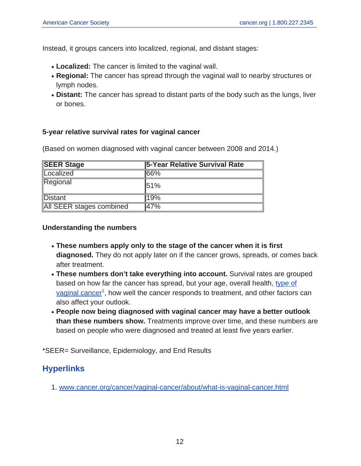Instead, it groups cancers into localized, regional, and distant stages:

- Localized: The cancer is limited to the vaginal wall.
- Regional: The cancer has spread through the vaginal wall to nearby structures or lymph nodes.
- Distant: The cancer has spread to distant parts of the body such as the lungs, liver or bones.

#### **5-year relative survival rates for vaginal cancer**

(Based on women diagnosed with vaginal cancer between 2008 and 2014.)

| <b>SEER Stage</b>        | 5-Year Relative Survival Rate |
|--------------------------|-------------------------------|
| Localized                | 66%                           |
| Regional                 | 51%                           |
| <b>Distant</b>           | 19%                           |
| All SEER stages combined | 47%                           |

#### **Understanding the numbers**

- **These numbers apply only to the stage of the cancer when it is first diagnosed.** They do not apply later on if the cancer grows, spreads, or comes back after treatment.
- **These numbers don't take everything into account.** Survival rates are grouped based on how far the cancer has spread, but your age, overall health, [type of](https://www.cancer.org/content/cancer/en/cancer/vaginal-cancer/about/what-is-vaginal-cancer.html) [vaginal cancer](https://www.cancer.org/content/cancer/en/cancer/vaginal-cancer/about/what-is-vaginal-cancer.html)<sup>1</sup>, how well the cancer responds to treatment, and other factors can also affect your outlook.
- **People now being diagnosed with vaginal cancer may have a better outlook than these numbers show.** Treatments improve over time, and these numbers are based on people who were diagnosed and treated at least five years earlier.

\*SEER= Surveillance, Epidemiology, and End Results

## **Hyperlinks**

1. <www.cancer.org/cancer/vaginal-cancer/about/what-is-vaginal-cancer.html>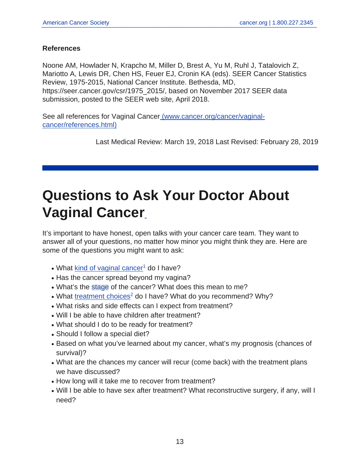#### **References**

Noone AM, Howlader N, Krapcho M, Miller D, Brest A, Yu M, Ruhl J, Tatalovich Z, Mariotto A, Lewis DR, Chen HS, Feuer EJ, Cronin KA (eds). SEER Cancer Statistics Review, 1975-2015, National Cancer Institute. Bethesda, MD, https://seer.cancer.gov/csr/1975\_2015/, based on November 2017 SEER data submission, posted to the SEER web site, April 2018.

See all [r](https://www.cancer.org/content/cancer/en/cancer/vaginal-cancer/references.html)eferences for Vaginal Cancer [\(www.cancer.org/cancer/vaginal](https://www.cancer.org/content/cancer/en/cancer/vaginal-cancer/references.html)[cancer/references.html\)](https://www.cancer.org/content/cancer/en/cancer/vaginal-cancer/references.html)

<span id="page-12-0"></span>Last Medical Review: March 19, 2018 Last Revised: February 28, 2019

# **Questions to Ask Your Doctor About Vaginal Cancer**

It's important to have honest, open talks with your cancer care team. They want to answer all of your questions, no matter how minor you might think they are. Here are some of the questions you might want to ask:

- $\bullet$  What [kind of vaginal cancer](https://www.cancer.org/content/cancer/en/cancer/vaginal-cancer/about/what-is-vaginal-cancer.html)<sup>1</sup> do I have?
- Has the cancer spread beyond my vagina?
- What's the [stage](#page-7-0) of the cancer? What does this mean to me?
- What [treatment choices](https://www.cancer.org/content/cancer/en/cancer/vaginal-cancer/treating.html)<sup>2</sup> do I have? What do you recommend? Why?
- What risks and side effects can I expect from treatment?
- Will I be able to have children after treatment?
- What should I do to be ready for treatment?
- Should I follow a special diet?
- Based on what you've learned about my cancer, what's my prognosis (chances of survival)?
- What are the chances my cancer will recur (come back) with the treatment plans we have discussed?
- How long will it take me to recover from treatment?
- Will I be able to have sex after treatment? What reconstructive surgery, if any, will I need?